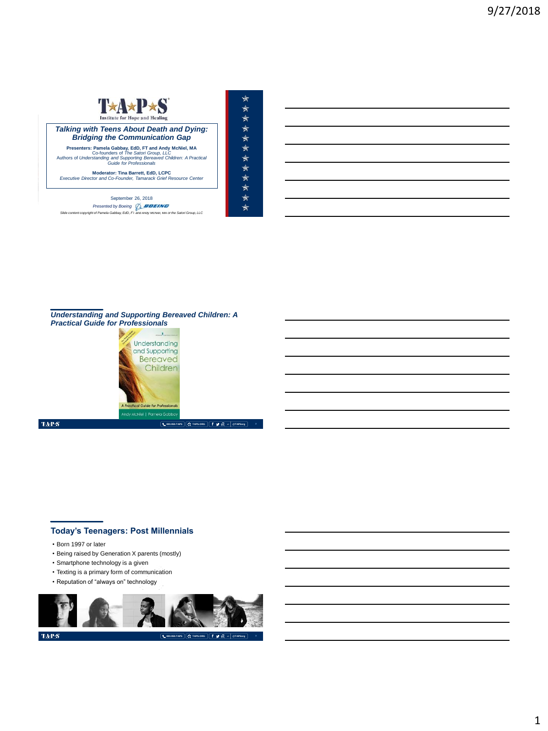

MEMORIAL DAY WEEKEND | MAY 2018 September 26, 2018 *Presented by Boeing Slide content copyright of Pamela Gabbay, EdD, FT and Andy McNiel, MA of the Satori Group, LLC*

 $\star$ \*\*\*\*\*\*\*\*\*\*\* ्<br>श्र





TAP $\mathbf S$ 

# **Today's Teenagers: Post Millennials**

- Born 1997 or later
- Being raised by Generation X parents (mostly)
- Smartphone technology is a given
- Texting is a primary form of communication
- Reputation of "always on" technology



 $\mathbf{TAPS}$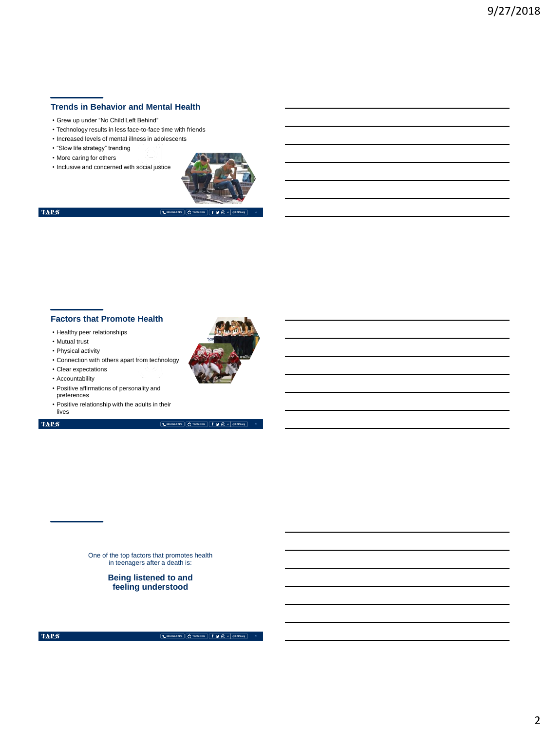# **Trends in Behavior and Mental Health**

- Grew up under "No Child Left Behind"
- Technology results in less face-to-face time with friends
- Increased levels of mental illness in adolescents
- "Slow life strategy" trending
- More caring for others
- Inclusive and concerned with social justice



 $\langle \mathbf{T} \mathbf{A} \mathbf{P} \mathbf{S} \rangle$ 

**800.959.TAPS TAPS.ORG @TAPSorg 4**

### **Factors that Promote Health**

- Healthy peer relationships
- Mutual trust
- Physical activity
- Connection with others apart from technology
- Clear expectations
- Accountability
- Positive affirmations of personality and preferences
- Positive relationship with the adults in their

### $\mathrm{TAP}S$

lives

**800.959.TAPS TAPS.ORG @TAPSorg**

One of the top factors that promotes health in teenagers after a death is:

> **Being listened to and feeling understood**

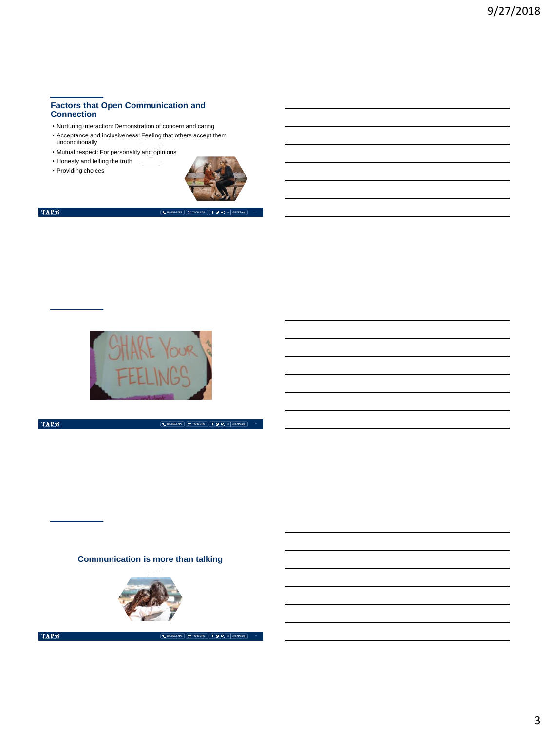## **Factors that Open Communication and Connection**

- Nurturing interaction: Demonstration of concern and caring
- Acceptance and inclusiveness: Feeling that others accept them unconditionally
- Mutual respect: For personality and opinions
- Honesty and telling the truth • Providing choices





**800.959.TAPS TAPS.ORG @TAPSorg**

**800.959.TAPS TAPS.ORG @TAPSorg 8**



 $\langle \mathbf{T} \mathbf{A} \mathbf{P} \mathbf{S} \rangle$ 

**Communication is more than talking**



 $\mbox{TAPS}$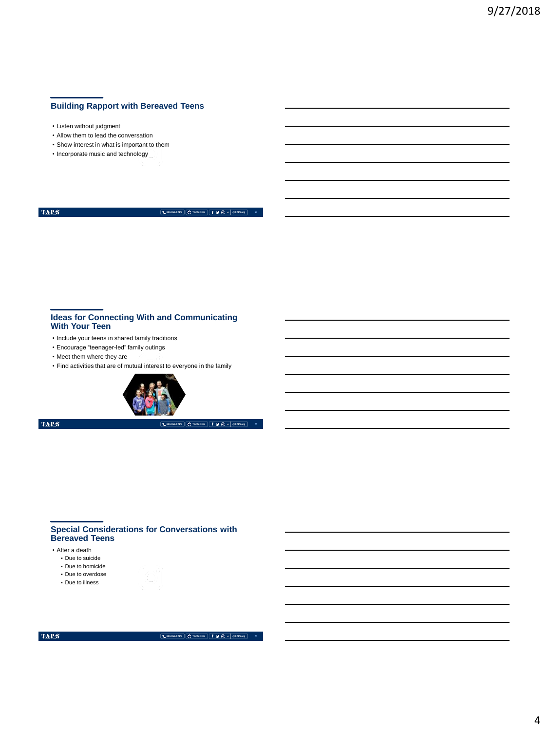# **Building Rapport with Bereaved Teens**

- Listen without judgment
- Allow them to lead the conversation
- Show interest in what is important to them
- Incorporate music and technology

 $\langle \mathbf{T} \mathbf{A} \mathbf{P} \mathbf{S} \rangle$ 

**800.959.TAPS TAPS.ORG @TAPSorg**

#### **Ideas for Connecting With and Communicating With Your Teen**

- Include your teens in shared family traditions
- Encourage "teenager-led" family outings
- Meet them where they are
- Find activities that are of mutual interest to everyone in the family



 $\mathrm{TAPS}$ 

**800.959.TAPS TAPS.ORG @TAPSorg**

### **Special Considerations for Conversations with Bereaved Teens**

- After a death
	- Due to suicide
	- Due to homicide
	- Due to overdose
	- Due to illness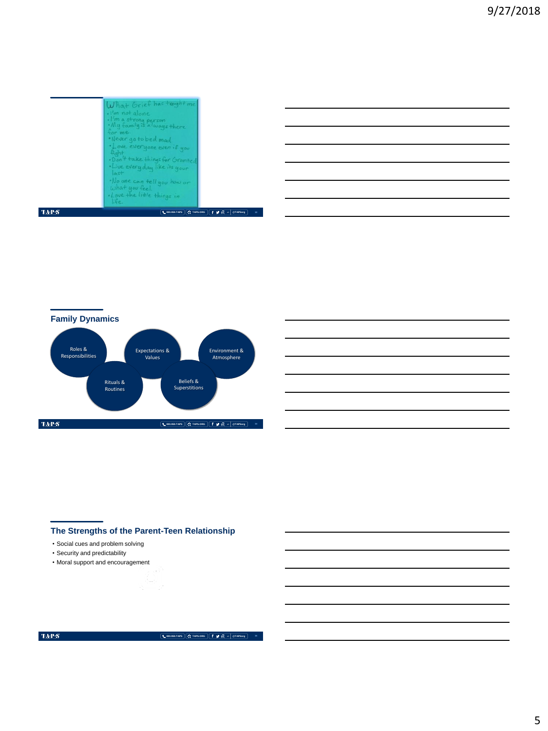|      | What Grief has taughtme<br>$\cdot$ $1/m$ not alone.<br>. I'm a strong person<br>• My family is a lways there<br>for me.<br>Never go to bed mod<br>· Love everyone even if you<br>Aahf<br>. Dan't take things for Granted<br>· Live every day like its your<br>$\sqrt{a}$ st<br>· No one can tell you how or<br>What you feel.<br>· Love the little things in<br>i.e. |
|------|----------------------------------------------------------------------------------------------------------------------------------------------------------------------------------------------------------------------------------------------------------------------------------------------------------------------------------------------------------------------|
| TAPS | L 800.959.TAPS $\left  \begin{array}{ccc} \mathbf{G} & \mathbf{H} & \mathbf{H} \\ \mathbf{H} & \mathbf{H} & \mathbf{H} \end{array} \right $ ( $\mathbf{H} & \mathbf{H} & \mathbf{H} \end{array}$<br><b>@TAPSorg</b><br>$\overline{12}$                                                                                                                               |



# **The Strengths of the Parent-Teen Relationship**

• Social cues and problem solving

- Security and predictability
- Moral support and encouragement

### $\langle \ensuremath{\text{TA-P-S}}\xspace \rangle$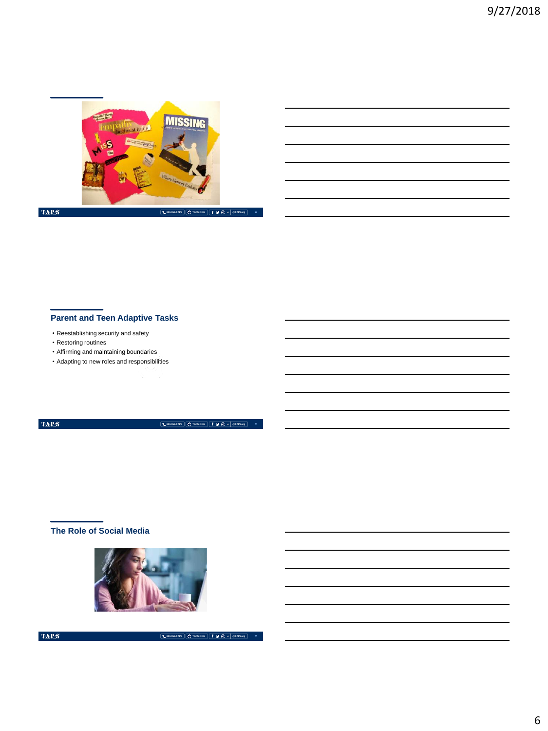

# **Parent and Teen Adaptive Tasks**

- Reestablishing security and safety
- Restoring routines
- Affirming and maintaining boundaries
- Adapting to new roles and responsibilities

 $\langle \ensuremath{\mathrm{TAPS}}\xspace \rangle$ 

**800.959.TAPS TAPS.ORG @TAPSorg**

# **The Role of Social Media**

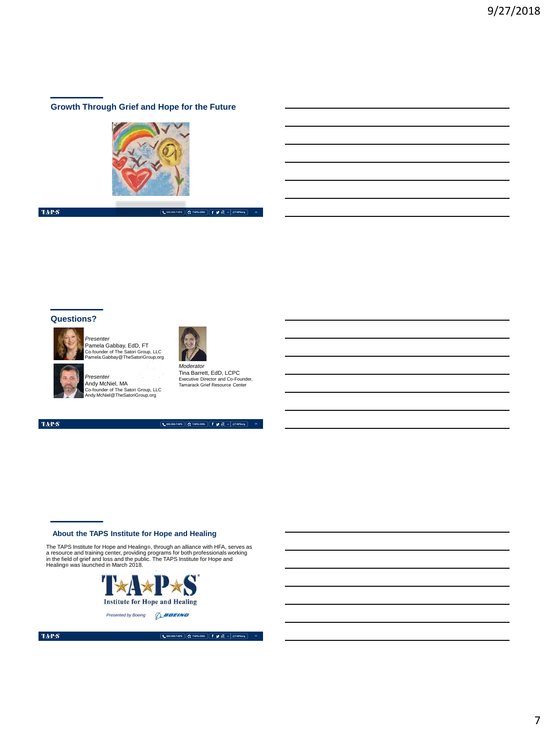## **Growth Through Grief and Hope for the Future**



 $\langle \mathbf{T} \mathbf{A} \mathbf{P} \mathbf{S} \rangle$ 

**800.959.TAPS TAPS.ORG @TAPSorg**

### **Questions?**



*Presenter* Pamela Gabbay, EdD, FT Co-founder of The Satori Group, LLC Pamela.Gabbay@TheSatoriGroup.org



*Presenter*<br>Andy McNiel, MA<br>Co-founder of The Satori Group, LLC<br>Andy.McNiel@TheSatoriGroup.org

Tina Barrett, EdD, LCPC Executive Director and Co-Founder, Tamarack Grief Resource Center

*Moderator*

**20**

 $\mathrm{TaP}\mathcal{S}$ 



## **About the TAPS Institute for Hope and Healing**

The TAPS Institute for Hope and Healing®, through an alliance with HFA, serves as<br>a resource and training center, providing programs for both professionals working<br>in the field of grief and loss and the public. The TAPS In



**Presented by Boeing** *Q\_BOEING*